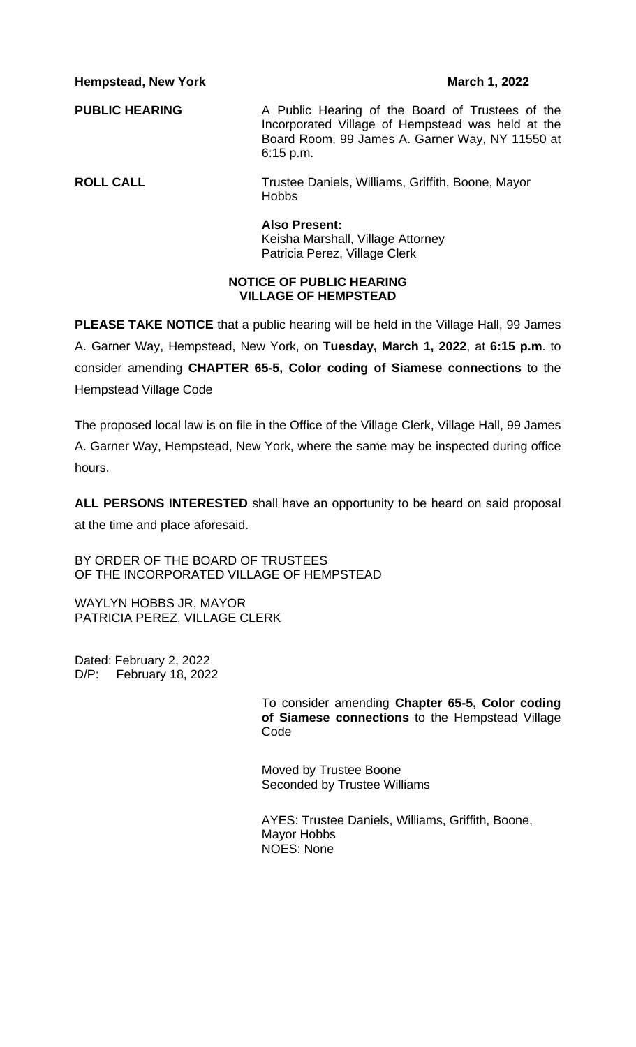**Hempstead, New York March 1, 2022** 

**PUBLIC HEARING** A Public Hearing of the Board of Trustees of the Incorporated Village of Hempstead was held at the Board Room, 99 James A. Garner Way, NY 11550 at 6:15 p.m.

**ROLL CALL** Trustee Daniels, Williams, Griffith, Boone, Mayor Hobbs

### **Also Present:**

Keisha Marshall, Village Attorney Patricia Perez, Village Clerk

## **NOTICE OF PUBLIC HEARING VILLAGE OF HEMPSTEAD**

**PLEASE TAKE NOTICE** that a public hearing will be held in the Village Hall, 99 James A. Garner Way, Hempstead, New York, on **Tuesday, March 1, 2022**, at **6:15 p.m**. to consider amending **CHAPTER 65-5, Color coding of Siamese connections** to the Hempstead Village Code

The proposed local law is on file in the Office of the Village Clerk, Village Hall, 99 James A. Garner Way, Hempstead, New York, where the same may be inspected during office hours.

**ALL PERSONS INTERESTED** shall have an opportunity to be heard on said proposal at the time and place aforesaid.

BY ORDER OF THE BOARD OF TRUSTEES OF THE INCORPORATED VILLAGE OF HEMPSTEAD

WAYLYN HOBBS JR, MAYOR PATRICIA PEREZ, VILLAGE CLERK

Dated: February 2, 2022 D/P: February 18, 2022

> To consider amending **Chapter 65-5, Color coding of Siamese connections** to the Hempstead Village Code

Moved by Trustee Boone Seconded by Trustee Williams

AYES: Trustee Daniels, Williams, Griffith, Boone, Mayor Hobbs NOES: None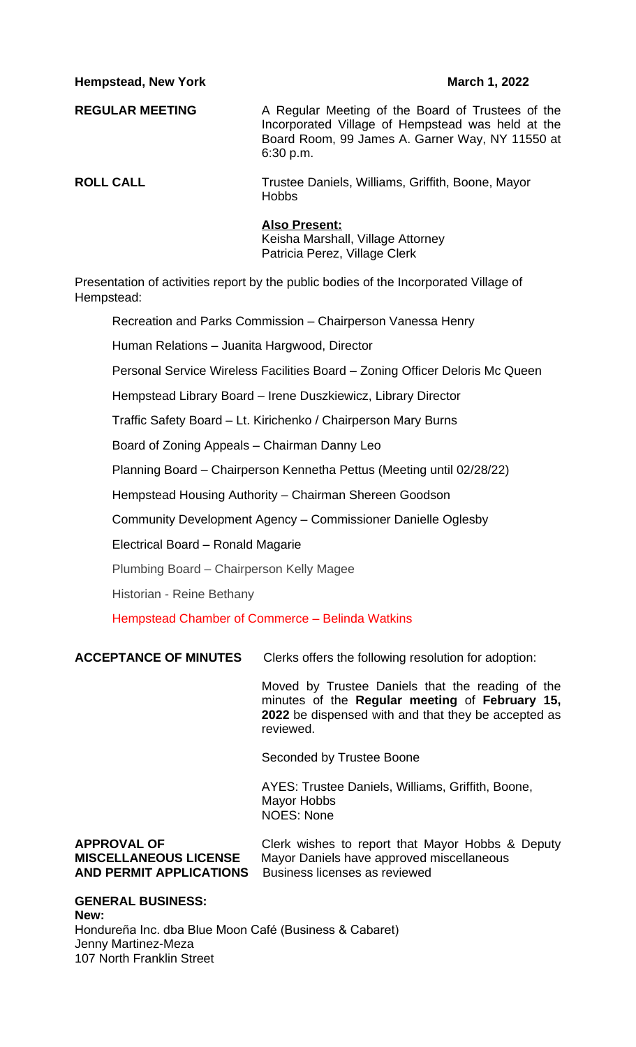## **Hempstead, New York March 1, 2022**

**REGULAR MEETING** A Regular Meeting of the Board of Trustees of the Incorporated Village of Hempstead was held at the Board Room, 99 James A. Garner Way, NY 11550 at 6:30 p.m.

**ROLL CALL** Trustee Daniels, Williams, Griffith, Boone, Mayor **Hobbs** 

### **Also Present:**

Keisha Marshall, Village Attorney Patricia Perez, Village Clerk

Presentation of activities report by the public bodies of the Incorporated Village of Hempstead:

Recreation and Parks Commission – Chairperson Vanessa Henry

Human Relations – Juanita Hargwood, Director

Personal Service Wireless Facilities Board – Zoning Officer Deloris Mc Queen

Hempstead Library Board – Irene Duszkiewicz, Library Director

Traffic Safety Board – Lt. Kirichenko / Chairperson Mary Burns

Board of Zoning Appeals – Chairman Danny Leo

Planning Board – Chairperson Kennetha Pettus (Meeting until 02/28/22)

Hempstead Housing Authority – Chairman Shereen Goodson

Community Development Agency – Commissioner Danielle Oglesby

Electrical Board – Ronald Magarie

Plumbing Board – Chairperson Kelly Magee

Historian - Reine Bethany

Hempstead Chamber of Commerce – Belinda Watkins

**ACCEPTANCE OF MINUTES** Clerks offers the following resolution for adoption:

Moved by Trustee Daniels that the reading of the minutes of the **Regular meeting** of **February 15, 2022** be dispensed with and that they be accepted as reviewed.

Seconded by Trustee Boone

AYES: Trustee Daniels, Williams, Griffith, Boone, Mayor Hobbs NOES: None

**AND PERMIT APPLICATIONS** Business licenses as reviewed

**APPROVAL OF** Clerk wishes to report that Mayor Hobbs & Deputy **MISCELLANEOUS LICENSE** Mayor Daniels have approved miscellaneous

**GENERAL BUSINESS: New:** Hondureña Inc. dba Blue Moon Café (Business & Cabaret) Jenny Martinez-Meza 107 North Franklin Street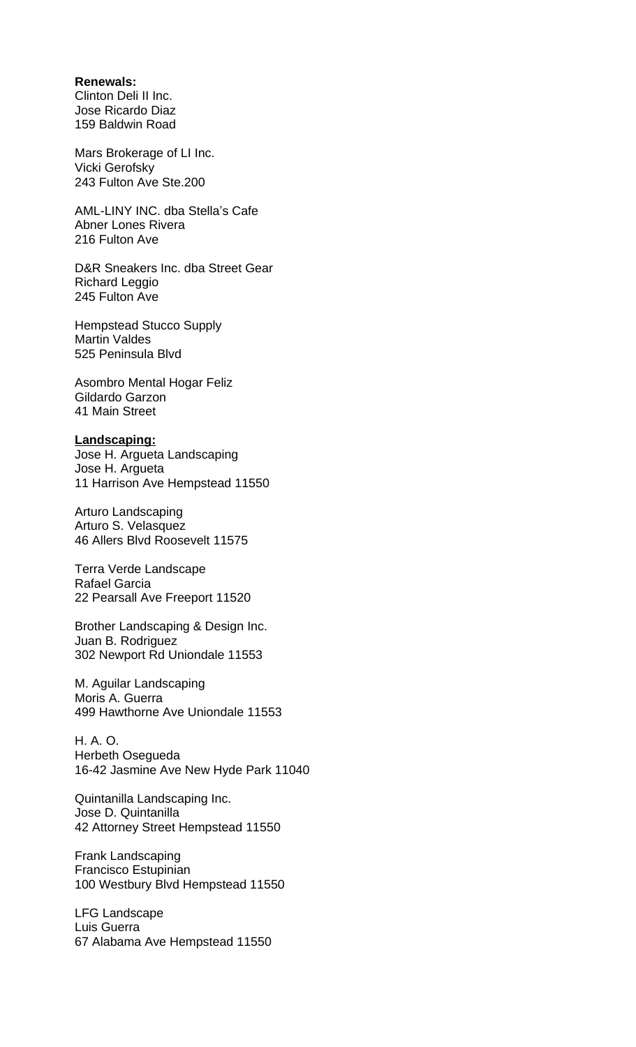## **Renewals:**

Clinton Deli II Inc. Jose Ricardo Diaz 159 Baldwin Road

Mars Brokerage of LI Inc. Vicki Gerofsky 243 Fulton Ave Ste.200

AML-LINY INC. dba Stella's Cafe Abner Lones Rivera 216 Fulton Ave

D&R Sneakers Inc. dba Street Gear Richard Leggio 245 Fulton Ave

Hempstead Stucco Supply Martin Valdes 525 Peninsula Blvd

Asombro Mental Hogar Feliz Gildardo Garzon 41 Main Street

## **Landscaping:**

Jose H. Argueta Landscaping Jose H. Argueta 11 Harrison Ave Hempstead 11550

Arturo Landscaping Arturo S. Velasquez 46 Allers Blvd Roosevelt 11575

Terra Verde Landscape Rafael Garcia 22 Pearsall Ave Freeport 11520

Brother Landscaping & Design Inc. Juan B. Rodriguez 302 Newport Rd Uniondale 11553

M. Aguilar Landscaping Moris A. Guerra 499 Hawthorne Ave Uniondale 11553

H. A. O. Herbeth Osegueda 16-42 Jasmine Ave New Hyde Park 11040

Quintanilla Landscaping Inc. Jose D. Quintanilla 42 Attorney Street Hempstead 11550

Frank Landscaping Francisco Estupinian 100 Westbury Blvd Hempstead 11550

LFG Landscape Luis Guerra 67 Alabama Ave Hempstead 11550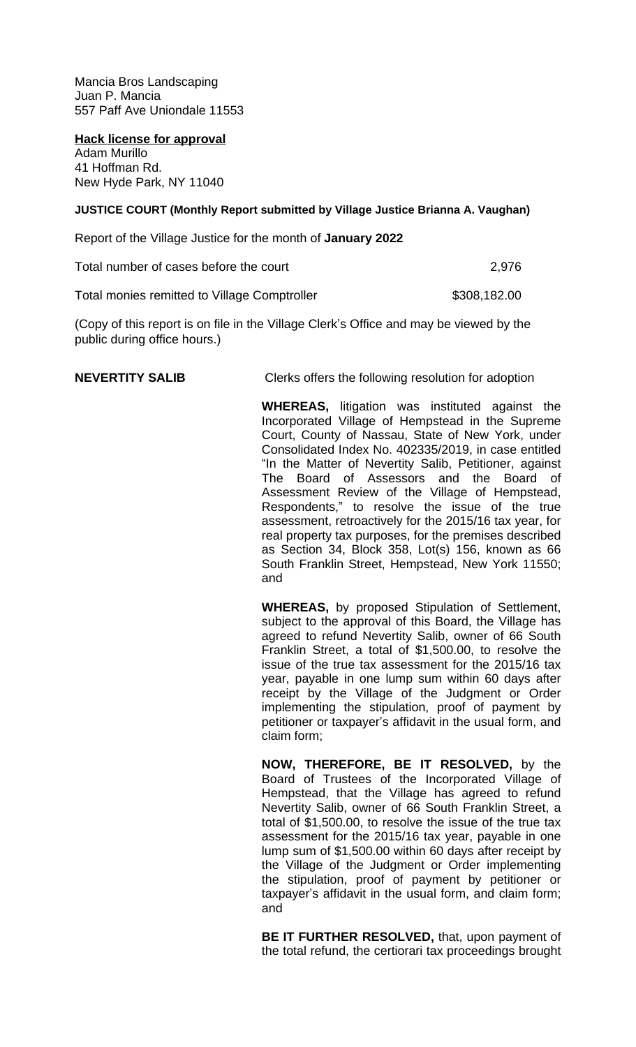Mancia Bros Landscaping Juan P. Mancia 557 Paff Ave Uniondale 11553

**Hack license for approval** Adam Murillo 41 Hoffman Rd.

New Hyde Park, NY 11040

# **JUSTICE COURT (Monthly Report submitted by Village Justice Brianna A. Vaughan)**

Report of the Village Justice for the month of **January 2022**

| Total number of cases before the court | 2,976 |
|----------------------------------------|-------|
|                                        |       |

Total monies remitted to Village Comptroller **\$308,182.00** 

(Copy of this report is on file in the Village Clerk's Office and may be viewed by the public during office hours.)

**NEVERTITY SALIB** Clerks offers the following resolution for adoption

**WHEREAS,** litigation was instituted against the Incorporated Village of Hempstead in the Supreme Court, County of Nassau, State of New York, under Consolidated Index No. 402335/2019, in case entitled "In the Matter of Nevertity Salib, Petitioner, against The Board of Assessors and the Board of Assessment Review of the Village of Hempstead, Respondents," to resolve the issue of the true assessment, retroactively for the 2015/16 tax year, for real property tax purposes, for the premises described as Section 34, Block 358, Lot(s) 156, known as 66 South Franklin Street, Hempstead, New York 11550; and

**WHEREAS,** by proposed Stipulation of Settlement, subject to the approval of this Board, the Village has agreed to refund Nevertity Salib, owner of 66 South Franklin Street, a total of \$1,500.00, to resolve the issue of the true tax assessment for the 2015/16 tax year, payable in one lump sum within 60 days after receipt by the Village of the Judgment or Order implementing the stipulation, proof of payment by petitioner or taxpayer's affidavit in the usual form, and claim form;

**NOW, THEREFORE, BE IT RESOLVED,** by the Board of Trustees of the Incorporated Village of Hempstead, that the Village has agreed to refund Nevertity Salib, owner of 66 South Franklin Street, a total of \$1,500.00, to resolve the issue of the true tax assessment for the 2015/16 tax year, payable in one lump sum of \$1,500.00 within 60 days after receipt by the Village of the Judgment or Order implementing the stipulation, proof of payment by petitioner or taxpayer's affidavit in the usual form, and claim form; and

**BE IT FURTHER RESOLVED,** that, upon payment of the total refund, the certiorari tax proceedings brought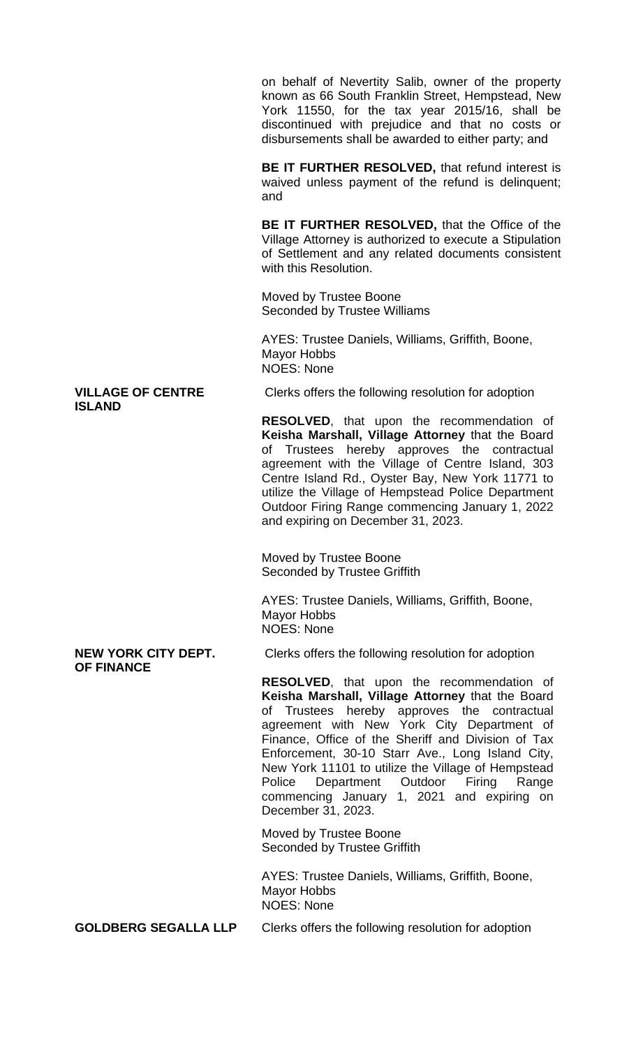on behalf of Nevertity Salib, owner of the property known as 66 South Franklin Street, Hempstead, New York 11550, for the tax year 2015/16, shall be discontinued with prejudice and that no costs or disbursements shall be awarded to either party; and

**BE IT FURTHER RESOLVED,** that refund interest is waived unless payment of the refund is delinquent; and

**BE IT FURTHER RESOLVED,** that the Office of the Village Attorney is authorized to execute a Stipulation of Settlement and any related documents consistent with this Resolution.

Moved by Trustee Boone Seconded by Trustee Williams

AYES: Trustee Daniels, Williams, Griffith, Boone, Mayor Hobbs NOES: None

# **ISLAND**

**VILLAGE OF CENTRE** Clerks offers the following resolution for adoption

**RESOLVED**, that upon the recommendation of **Keisha Marshall, Village Attorney** that the Board of Trustees hereby approves the contractual agreement with the Village of Centre Island, 303 Centre Island Rd., Oyster Bay, New York 11771 to utilize the Village of Hempstead Police Department Outdoor Firing Range commencing January 1, 2022 and expiring on December 31, 2023.

Moved by Trustee Boone Seconded by Trustee Griffith

AYES: Trustee Daniels, Williams, Griffith, Boone, Mayor Hobbs NOES: None

# **OF FINANCE**

**NEW YORK CITY DEPT.** Clerks offers the following resolution for adoption

**RESOLVED**, that upon the recommendation of **Keisha Marshall, Village Attorney** that the Board of Trustees hereby approves the contractual agreement with New York City Department of Finance, Office of the Sheriff and Division of Tax Enforcement, 30-10 Starr Ave., Long Island City, New York 11101 to utilize the Village of Hempstead Police Department Outdoor Firing Range commencing January 1, 2021 and expiring on December 31, 2023.

Moved by Trustee Boone Seconded by Trustee Griffith

AYES: Trustee Daniels, Williams, Griffith, Boone, Mayor Hobbs NOES: None

**GOLDBERG SEGALLA LLP** Clerks offers the following resolution for adoption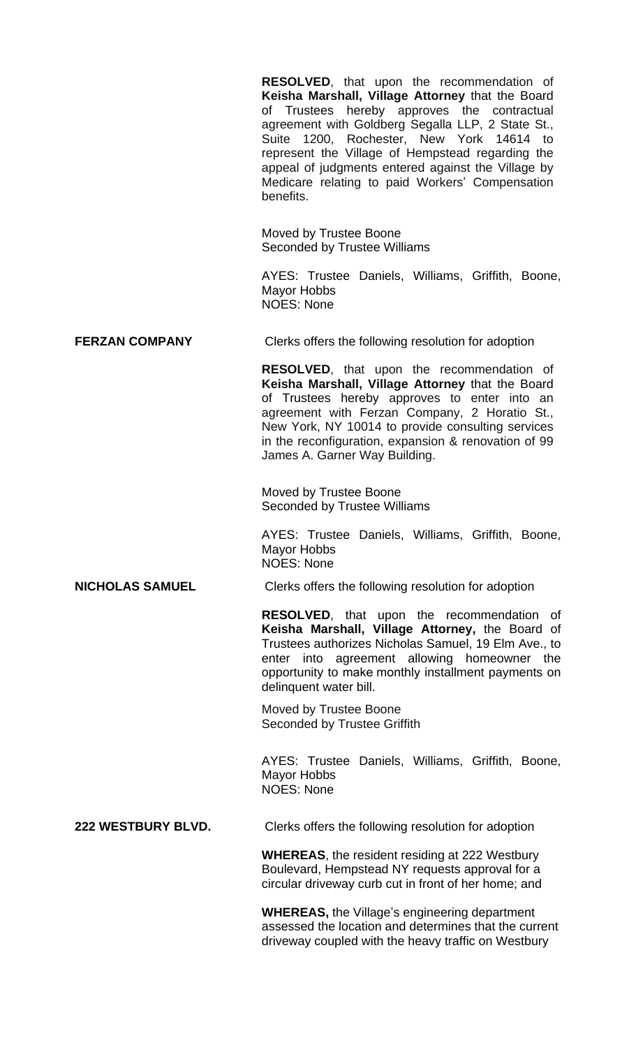|                           | <b>RESOLVED,</b> that upon the recommendation of<br>Keisha Marshall, Village Attorney that the Board<br>of Trustees hereby approves the contractual<br>agreement with Goldberg Segalla LLP, 2 State St.,<br>Suite 1200, Rochester, New York 14614 to<br>represent the Village of Hempstead regarding the<br>appeal of judgments entered against the Village by<br>Medicare relating to paid Workers' Compensation<br>benefits. |  |
|---------------------------|--------------------------------------------------------------------------------------------------------------------------------------------------------------------------------------------------------------------------------------------------------------------------------------------------------------------------------------------------------------------------------------------------------------------------------|--|
|                           | Moved by Trustee Boone<br><b>Seconded by Trustee Williams</b>                                                                                                                                                                                                                                                                                                                                                                  |  |
|                           | AYES: Trustee Daniels, Williams, Griffith, Boone,<br><b>Mayor Hobbs</b><br><b>NOES: None</b>                                                                                                                                                                                                                                                                                                                                   |  |
| <b>FERZAN COMPANY</b>     | Clerks offers the following resolution for adoption                                                                                                                                                                                                                                                                                                                                                                            |  |
|                           | <b>RESOLVED,</b> that upon the recommendation of<br>Keisha Marshall, Village Attorney that the Board<br>of Trustees hereby approves to enter into an<br>agreement with Ferzan Company, 2 Horatio St.,<br>New York, NY 10014 to provide consulting services<br>in the reconfiguration, expansion & renovation of 99<br>James A. Garner Way Building.                                                                            |  |
|                           | Moved by Trustee Boone<br><b>Seconded by Trustee Williams</b>                                                                                                                                                                                                                                                                                                                                                                  |  |
|                           | AYES: Trustee Daniels, Williams, Griffith, Boone,<br>Mayor Hobbs<br><b>NOES: None</b>                                                                                                                                                                                                                                                                                                                                          |  |
| <b>NICHOLAS SAMUEL</b>    | Clerks offers the following resolution for adoption                                                                                                                                                                                                                                                                                                                                                                            |  |
| delinquent water bill.    | <b>RESOLVED,</b> that upon the recommendation of<br>Keisha Marshall, Village Attorney, the Board of<br>Trustees authorizes Nicholas Samuel, 19 Elm Ave., to<br>enter into agreement allowing homeowner the<br>opportunity to make monthly installment payments on                                                                                                                                                              |  |
|                           | Moved by Trustee Boone<br>Seconded by Trustee Griffith                                                                                                                                                                                                                                                                                                                                                                         |  |
|                           | AYES: Trustee Daniels, Williams, Griffith, Boone,<br><b>Mayor Hobbs</b><br><b>NOES: None</b>                                                                                                                                                                                                                                                                                                                                   |  |
| <b>222 WESTBURY BLVD.</b> | Clerks offers the following resolution for adoption                                                                                                                                                                                                                                                                                                                                                                            |  |
|                           | <b>WHEREAS, the resident residing at 222 Westbury</b><br>Boulevard, Hempstead NY requests approval for a<br>circular driveway curb cut in front of her home; and                                                                                                                                                                                                                                                               |  |
|                           | <b>WHEREAS, the Village's engineering department</b><br>assessed the location and determines that the current                                                                                                                                                                                                                                                                                                                  |  |

driveway coupled with the heavy traffic on Westbury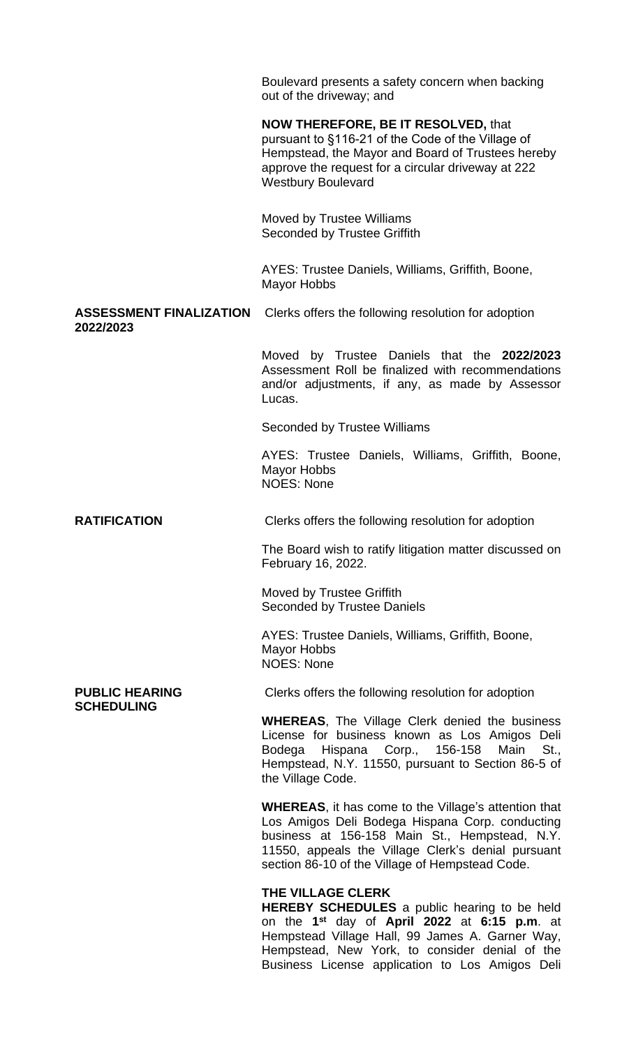Boulevard presents a safety concern when backing out of the driveway; and

# **NOW THEREFORE, BE IT RESOLVED,** that

pursuant to §116-21 of the Code of the Village of Hempstead, the Mayor and Board of Trustees hereby approve the request for a circular driveway at 222 Westbury Boulevard

Moved by Trustee Williams Seconded by Trustee Griffith

AYES: Trustee Daniels, Williams, Griffith, Boone, Mayor Hobbs

**ASSESSMENT FINALIZATION** Clerks offers the following resolution for adoption **2022/2023**

> Moved by Trustee Daniels that the **2022/2023** Assessment Roll be finalized with recommendations and/or adjustments, if any, as made by Assessor Lucas.

Seconded by Trustee Williams

AYES: Trustee Daniels, Williams, Griffith, Boone, Mayor Hobbs NOES: None

**RATIFICATION** Clerks offers the following resolution for adoption

The Board wish to ratify litigation matter discussed on February 16, 2022.

Moved by Trustee Griffith Seconded by Trustee Daniels

AYES: Trustee Daniels, Williams, Griffith, Boone, Mayor Hobbs NOES: None

**SCHEDULING**

**PUBLIC HEARING** Clerks offers the following resolution for adoption

**WHEREAS**, The Village Clerk denied the business License for business known as Los Amigos Deli Bodega Hispana Corp., 156-158 Main St., Hempstead, N.Y. 11550, pursuant to Section 86-5 of the Village Code.

**WHEREAS**, it has come to the Village's attention that Los Amigos Deli Bodega Hispana Corp. conducting business at 156-158 Main St., Hempstead, N.Y. 11550, appeals the Village Clerk's denial pursuant section 86-10 of the Village of Hempstead Code.

### **THE VILLAGE CLERK**

**HEREBY SCHEDULES** a public hearing to be held on the **1 st** day of **April 2022** at **6:15 p.m**. at Hempstead Village Hall, 99 James A. Garner Way, Hempstead, New York, to consider denial of the Business License application to Los Amigos Deli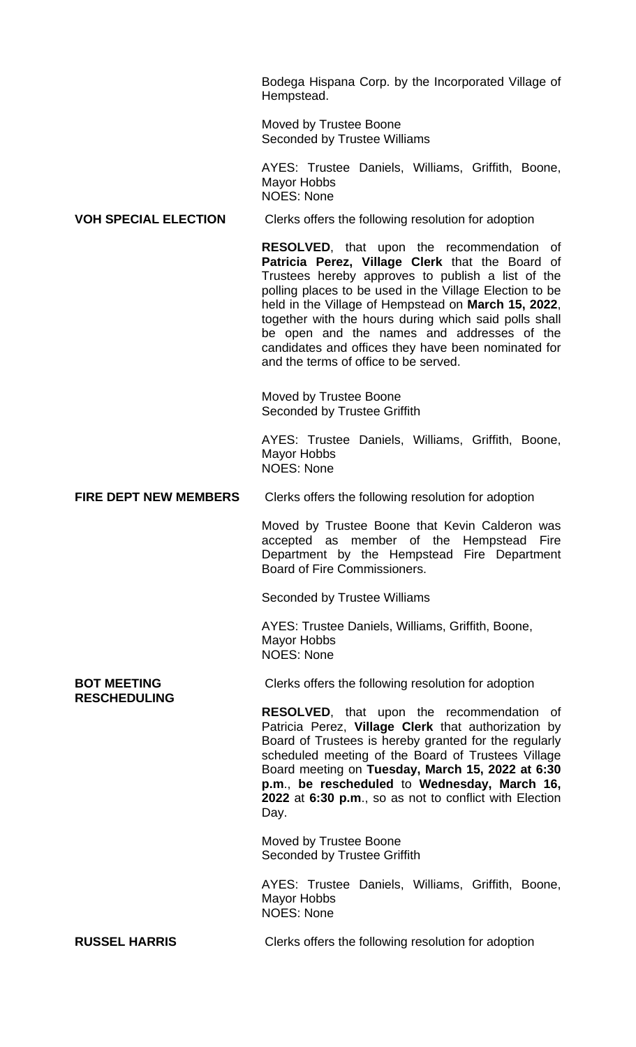Bodega Hispana Corp. by the Incorporated Village of Hempstead.

Moved by Trustee Boone Seconded by Trustee Williams

AYES: Trustee Daniels, Williams, Griffith, Boone, Mayor Hobbs NOES: None

#### **VOH SPECIAL ELECTION** Clerks offers the following resolution for adoption

**RESOLVED**, that upon the recommendation of **Patricia Perez, Village Clerk** that the Board of Trustees hereby approves to publish a list of the polling places to be used in the Village Election to be held in the Village of Hempstead on **March 15, 2022**, together with the hours during which said polls shall be open and the names and addresses of the candidates and offices they have been nominated for and the terms of office to be served.

Moved by Trustee Boone Seconded by Trustee Griffith

AYES: Trustee Daniels, Williams, Griffith, Boone, Mayor Hobbs NOES: None

**FIRE DEPT NEW MEMBERS** Clerks offers the following resolution for adoption

Moved by Trustee Boone that Kevin Calderon was accepted as member of the Hempstead Fire Department by the Hempstead Fire Department Board of Fire Commissioners.

Seconded by Trustee Williams

AYES: Trustee Daniels, Williams, Griffith, Boone, Mayor Hobbs NOES: None

**RESCHEDULING**

**BOT MEETING** Clerks offers the following resolution for adoption

**RESOLVED**, that upon the recommendation of Patricia Perez, **Village Clerk** that authorization by Board of Trustees is hereby granted for the regularly scheduled meeting of the Board of Trustees Village Board meeting on **Tuesday, March 15, 2022 at 6:30 p.m**., **be rescheduled** to **Wednesday, March 16, 2022** at **6:30 p.m**., so as not to conflict with Election Day.

Moved by Trustee Boone Seconded by Trustee Griffith

AYES: Trustee Daniels, Williams, Griffith, Boone, Mayor Hobbs NOES: None

**RUSSEL HARRIS** Clerks offers the following resolution for adoption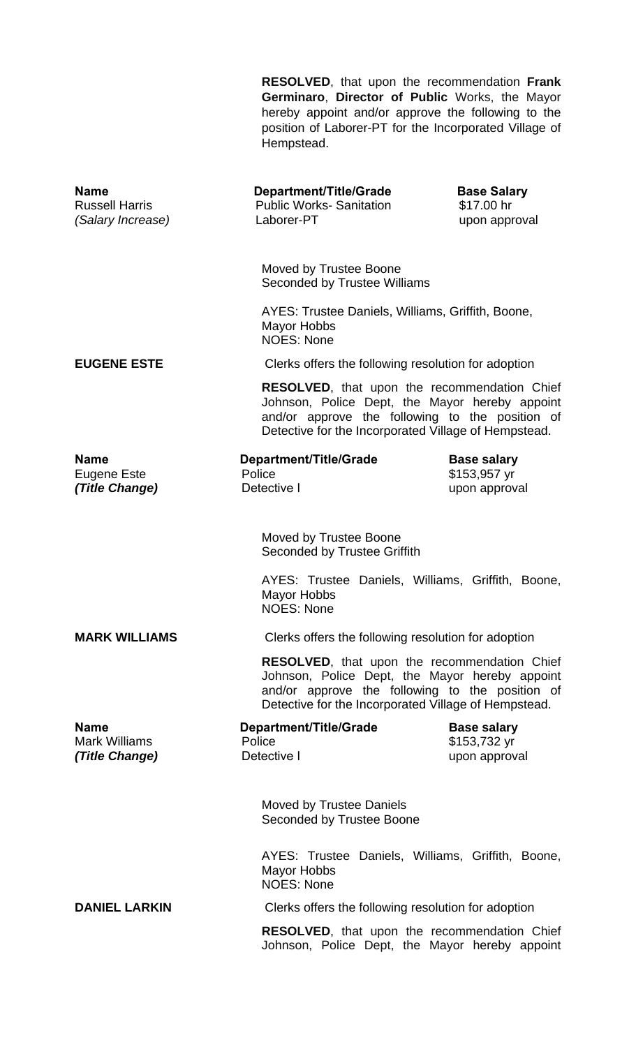**RESOLVED**, that upon the recommendation **Frank Germinaro**, **Director of Public** Works, the Mayor hereby appoint and/or approve the following to the position of Laborer-PT for the Incorporated Village of Hempstead.

| <b>Name</b><br><b>Russell Harris</b><br>(Salary Increase) | Department/Title/Grade<br><b>Public Works-Sanitation</b><br>Laborer-PT                                                                                                                                           | <b>Base Salary</b><br>\$17.00 hr<br>upon approval   |  |  |
|-----------------------------------------------------------|------------------------------------------------------------------------------------------------------------------------------------------------------------------------------------------------------------------|-----------------------------------------------------|--|--|
|                                                           | Moved by Trustee Boone<br><b>Seconded by Trustee Williams</b>                                                                                                                                                    |                                                     |  |  |
|                                                           | AYES: Trustee Daniels, Williams, Griffith, Boone,<br><b>Mayor Hobbs</b><br><b>NOES: None</b>                                                                                                                     |                                                     |  |  |
| <b>EUGENE ESTE</b>                                        | Clerks offers the following resolution for adoption                                                                                                                                                              |                                                     |  |  |
|                                                           | <b>RESOLVED, that upon the recommendation Chief</b><br>Johnson, Police Dept, the Mayor hereby appoint<br>and/or approve the following to the position of<br>Detective for the Incorporated Village of Hempstead. |                                                     |  |  |
| <b>Name</b><br>Eugene Este<br>(Title Change)              | <b>Department/Title/Grade</b><br>Police<br>Detective I                                                                                                                                                           | <b>Base salary</b><br>\$153,957 yr<br>upon approval |  |  |
|                                                           | Moved by Trustee Boone<br>Seconded by Trustee Griffith                                                                                                                                                           |                                                     |  |  |
|                                                           | AYES: Trustee Daniels, Williams, Griffith, Boone,<br><b>Mayor Hobbs</b><br><b>NOES: None</b>                                                                                                                     |                                                     |  |  |
| <b>MARK WILLIAMS</b>                                      |                                                                                                                                                                                                                  | Clerks offers the following resolution for adoption |  |  |
|                                                           | <b>RESOLVED, that upon the recommendation Chief</b><br>Johnson, Police Dept, the Mayor hereby appoint<br>and/or approve the following to the position of<br>Detective for the Incorporated Village of Hempstead. |                                                     |  |  |
| <b>Name</b><br><b>Mark Williams</b><br>(Title Change)     | Department/Title/Grade<br>Police<br>Detective I                                                                                                                                                                  | <b>Base salary</b><br>\$153,732 yr<br>upon approval |  |  |
|                                                           | <b>Moved by Trustee Daniels</b><br>Seconded by Trustee Boone                                                                                                                                                     |                                                     |  |  |
|                                                           | AYES: Trustee Daniels, Williams, Griffith, Boone,<br><b>Mayor Hobbs</b><br><b>NOES: None</b>                                                                                                                     |                                                     |  |  |
| <b>DANIEL LARKIN</b>                                      | Clerks offers the following resolution for adoption                                                                                                                                                              |                                                     |  |  |
|                                                           | <b>RESOLVED, that upon the recommendation Chief</b><br>Johnson, Police Dept, the Mayor hereby appoint                                                                                                            |                                                     |  |  |